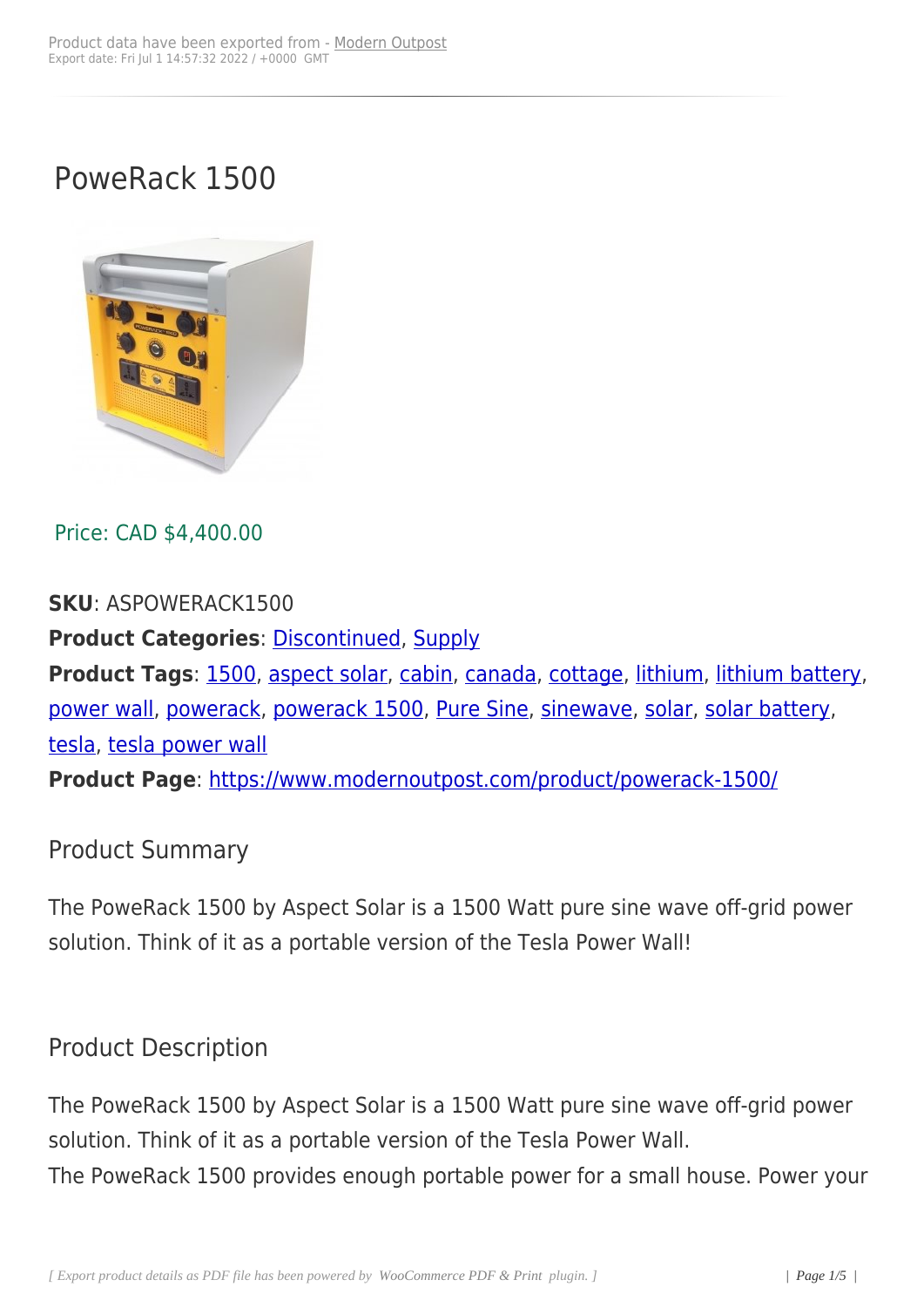# PoweRack 1500



### Price: CAD \$4,400.00

#### **SKU**: ASPOWERACK1500

**Product Categories**: Discontinued, Supply **Product Tags**: 1500, aspect solar, cabin, canada, cottage, lithium, lithium battery, power wall, powerack, [powerack 150](https://www.modernoutpost.com/product-category/more-cool-gear/discontinued/)[0, Pure](https://www.modernoutpost.com/product-category/solar-equipment-store-canada/) Sine, sinewave, solar, solar battery,

tesla, tesla pow[er wa](https://www.modernoutpost.com/product-tag/1500/)ll

**[Product P](https://www.modernoutpost.com/product-tag/power-wall/)age**[: https:](https://www.modernoutpost.com/product-tag/powerack/)/[/www.modernou](https://www.modernoutpost.com/product-tag/powerack-1500/)[tpost.com](https://www.modernoutpost.com/product-tag/pure-sine/)/[product/po](https://www.modernoutpost.com/product-tag/sinewave/)[wera](https://www.modernoutpost.com/product-tag/solar/)c[k-1500/](https://www.modernoutpost.com/product-tag/solar-battery/)

#### Product Sum[mary](https://www.modernoutpost.com/product/powerack-1500/)

The PoweRack 1500 by Aspect Solar is a 1500 Watt pure sine wave off-grid power solution. Think of it as a portable version of the Tesla Power Wall!

## Product Description

The PoweRack 1500 by Aspect Solar is a 1500 Watt pure sine wave off-grid power solution. Think of it as a portable version of the Tesla Power Wall. The PoweRack 1500 provides enough portable power for a small house. Power your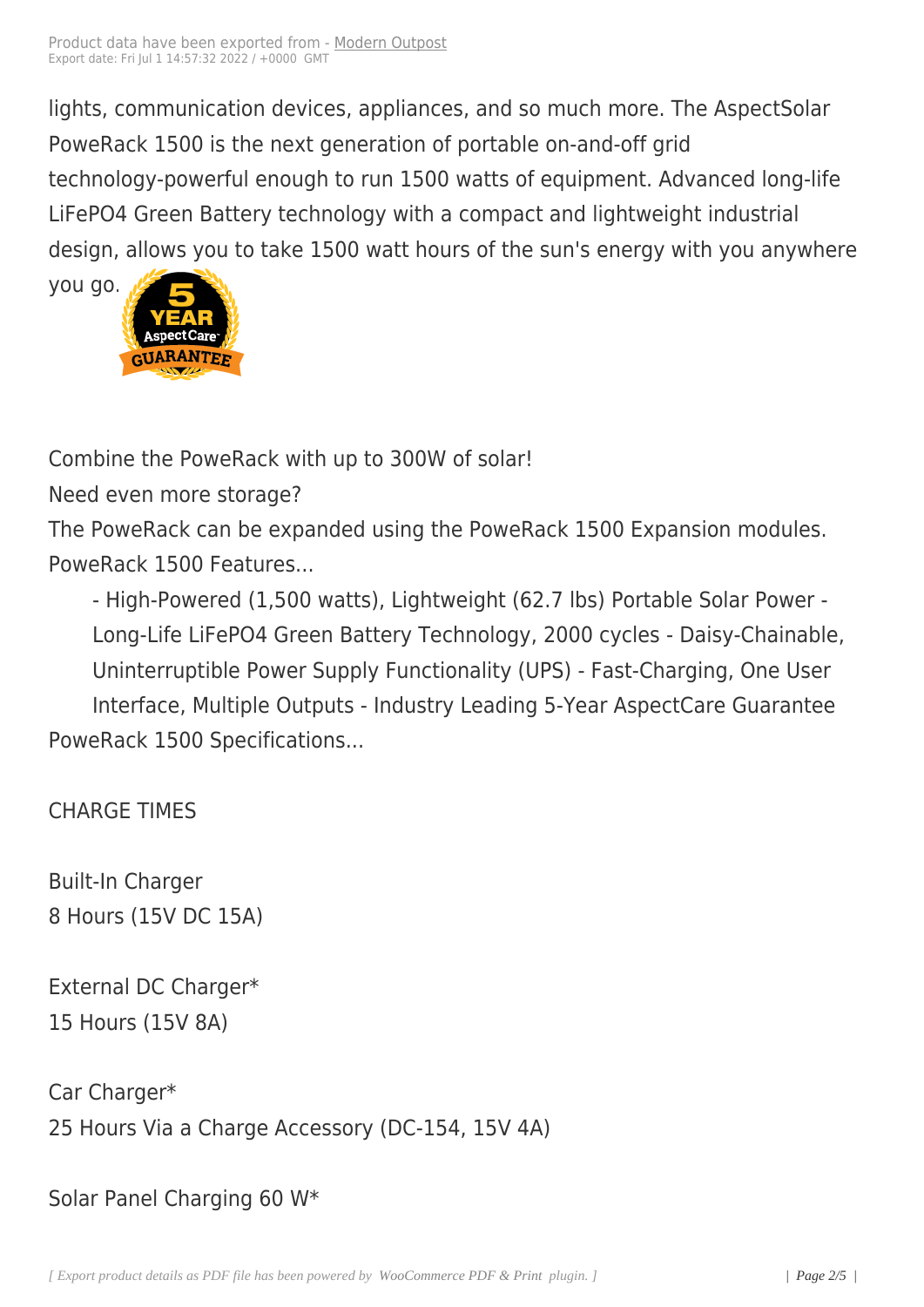lights, communication devic[es, appliance](https://www.modernoutpost.com/?post_type=product&p=5723)s, and so much more. The AspectSolar PoweRack 1500 is the next generation of portable on-and-off grid technology-powerful enough to run 1500 watts of equipment. Advanced long-life LiFePO4 Green Battery technology with a compact and lightweight industrial design, allows you to take 1500 watt hours of the sun's energy with you anywhere

you go.

Combi[ne the PoweRa](https://www.modernoutpost.com/wp-content/uploads/2016/05/as_5year-guarantee.png)ck with up to 300W of solar!

Need even more storage?

The PoweRack can be expanded using the PoweRack 1500 Expansion modules. PoweRack 1500 Features...

- High-Powered (1,500 watts), Lightweight (62.7 lbs) Portable Solar Power - Long-Life LiFePO4 Green Battery Technology, 2000 cycles - Daisy-Chainable, Uninterruptible Power Supply Functionality (UPS) - Fast-Charging, One User Interface, Multiple Outputs - Industry Leading 5-Year AspectCare Guarantee PoweRack 1500 Specifications...

CHARGE TIMES

Built-In Charger 8 Hours (15V DC 15A)

External DC Charger\* 15 Hours (15V 8A)

Car Charger\* 25 Hours Via a Charge Accessory (DC-154, 15V 4A)

Solar Panel Charging 60 W\*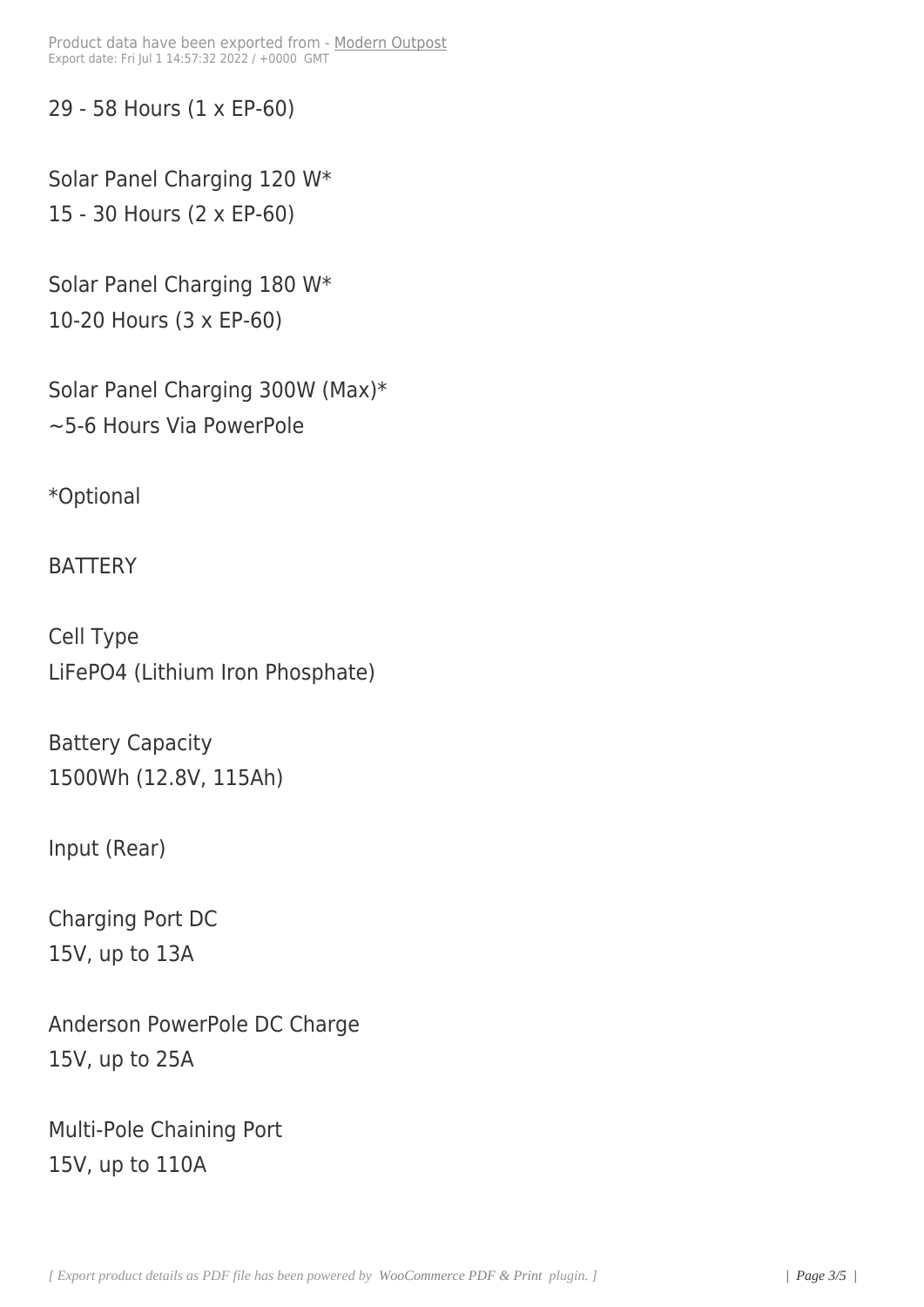29 - 58 Hours (1 x EP-60)

Solar Panel Charging 120 W\* 15 - 30 Hours (2 x EP-60)

Solar Panel Charging 180 W\* 10-20 Hours (3 x EP-60)

Solar Panel Charging 300W (Max)\* ~5-6 Hours Via PowerPole

\*Optional

**BATTERY** 

Cell Type LiFePO4 (Lithium Iron Phosphate)

Battery Capacity 1500Wh (12.8V, 115Ah)

Input (Rear)

Charging Port DC 15V, up to 13A

Anderson PowerPole DC Charge 15V, up to 25A

Multi-Pole Chaining Port 15V, up to 110A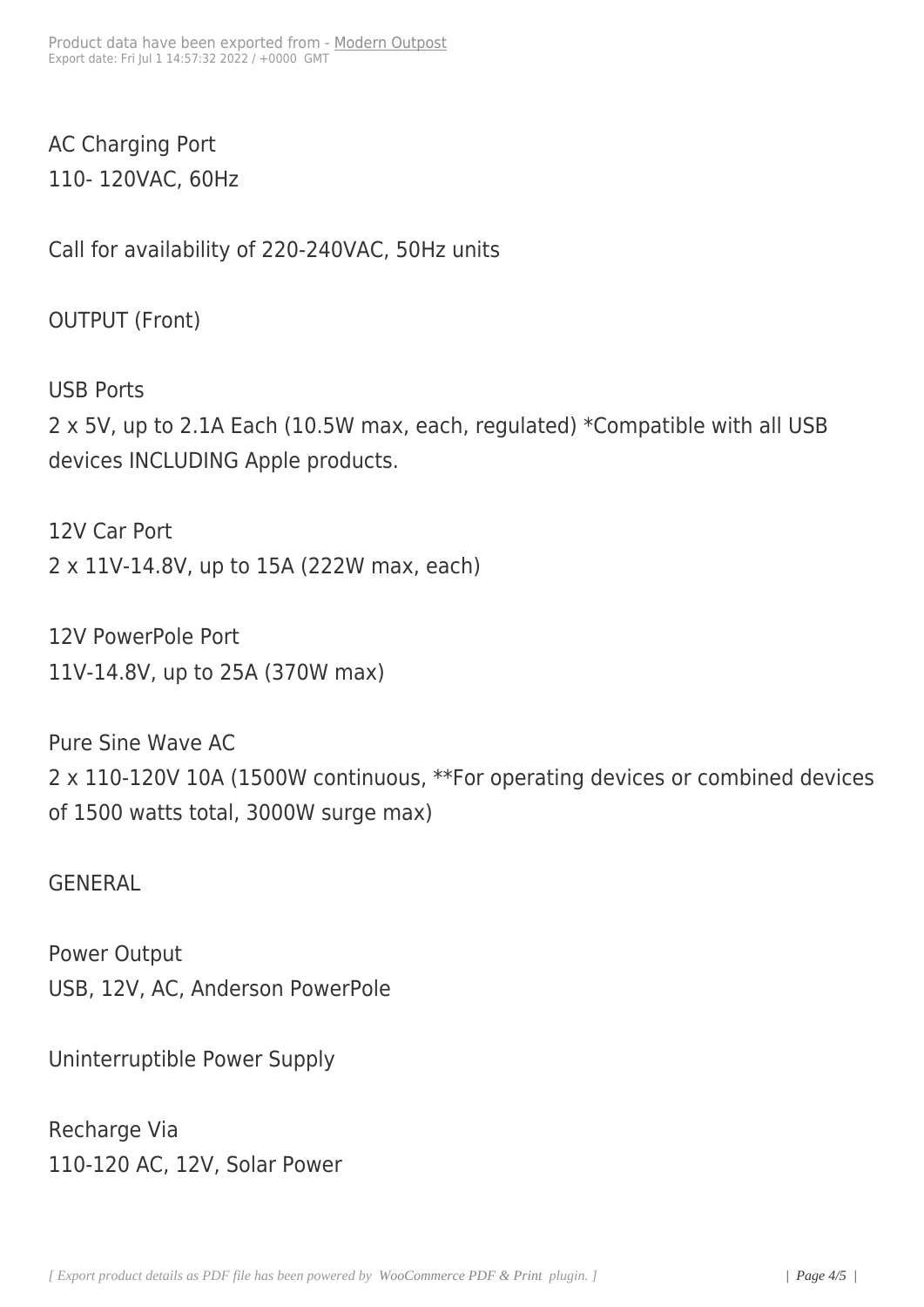AC Charging Port 110- 120VAC, 60Hz

Call for availability of 220-240VAC, 50Hz units

OUTPUT (Front)

USB Ports 2 x 5V, up to 2.1A Each (10.5W max, each, regulated) \*Compatible with all USB devices INCLUDING Apple products.

12V Car Port 2 x 11V-14.8V, up to 15A (222W max, each)

12V PowerPole Port 11V-14.8V, up to 25A (370W max)

Pure Sine Wave AC 2 x 110-120V 10A (1500W continuous, \*\*For operating devices or combined devices of 1500 watts total, 3000W surge max)

GENERAL

Power Output USB, 12V, AC, Anderson PowerPole

Uninterruptible Power Supply

Recharge Via 110-120 AC, 12V, Solar Power